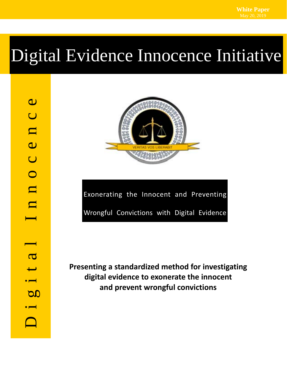# Digital Evidence Innocence Initiative



Exonerating the Innocent and Preventing Wrongful Convictions with Digital Evidence

**Presenting a standardized method for investigating digital evidence to exonerate the innocent and prevent wrongful convictions**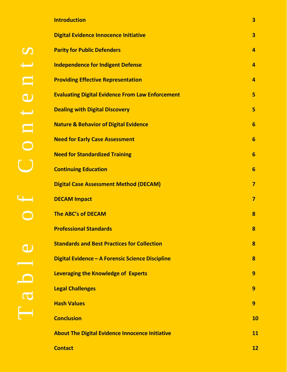| <b>Introduction</b>                                     | $\overline{\mathbf{3}}$ |
|---------------------------------------------------------|-------------------------|
| <b>Digital Evidence Innocence Initiative</b>            | $\overline{\mathbf{3}}$ |
| <b>Parity for Public Defenders</b>                      | $\overline{4}$          |
| <b>Independence for Indigent Defense</b>                | 4                       |
| <b>Providing Effective Representation</b>               | 4                       |
| <b>Evaluating Digital Evidence From Law Enforcement</b> | 5                       |
| <b>Dealing with Digital Discovery</b>                   | 5                       |
| <b>Nature &amp; Behavior of Digital Evidence</b>        | 6                       |
| <b>Need for Early Case Assessment</b>                   | 6                       |
| <b>Need for Standardized Training</b>                   | $6\phantom{1}6$         |
| <b>Continuing Education</b>                             | 6                       |
| <b>Digital Case Assessment Method (DECAM)</b>           | $\overline{7}$          |
| <b>DECAM Impact</b>                                     | $\overline{7}$          |
| <b>The ABC's of DECAM</b>                               | 8                       |
| <b>Professional Standards</b>                           | 8                       |
| <b>Standards and Best Practices for Collection</b>      | 8                       |
| Digital Evidence - A Forensic Science Discipline        | 8                       |
| <b>Leveraging the Knowledge of Experts</b>              | 9                       |
| <b>Legal Challenges</b>                                 | 9                       |
| <b>Hash Values</b>                                      | 9                       |
| <b>Conclusion</b>                                       | 10                      |
| <b>About The Digital Evidence Innocence Initiative</b>  | 11                      |
| <b>Contact</b>                                          | 12                      |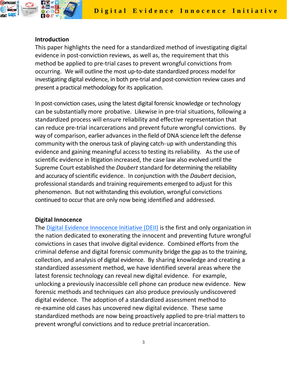

#### **Introduction**

This paper highlights the need for a standardized method of investigating digital evidence in post-conviction reviews, as well as, the requirement that this method be applied to pre-trial cases to prevent wrongful convictions from occurring. We will outline the most up‐to‐date standardized process model for investigating digital evidence, in both pre‐trial and post‐conviction review cases and present a practical methodology for its application.

In post-conviction cases, using the latest digital forensic knowledge or technology can be substantially more probative. Likewise in pre‐trial situations, following a standardized process will ensure reliability and effective representation that can reduce pre‐trial incarcerations and prevent future wrongful convictions. By way of comparison, earlier advances in the field of DNA science left the defense community with the onerous task of playing catch-up with understanding this evidence and gaining meaningful access to testing its reliability. As the use of scientific evidence in litigation increased, the case law also evolved until the Supreme Court established the *Daubert* standard for determining the reliability and accuracy of scientific evidence. In conjunction with the *Daubert* decision, professional standards and training requirements emerged to adjust for this phenomenon. But not withstanding this evolution, wrongful convictions continued to occur that are only now being identified and addressed.

#### **Digital Innocence**

The Digital Evidence [Innocence](www.digitalinnocence.com) Initiative (DEII) is the first and only organization in the nation dedicated to exonerating the innocent and preventing future wrongful convictions in cases that involve digital evidence. Combined efforts from the criminal defense and digital forensic community bridge the gap as to the training, collection, and analysis of digital evidence. By sharing knowledge and creating a standardized assessment method, we have identified several areas where the latest forensic technology can reveal new digital evidence. For example, unlocking a previously inaccessible cell phone can produce new evidence. New forensic methods and techniques can also produce previously undiscovered digital evidence. The adoption of a standardized assessment method to re‐examine old cases has uncovered new digital evidence. These same standardized methods are now being proactively applied to pre‐trial matters to prevent wrongful convictions and to reduce pretrial incarceration.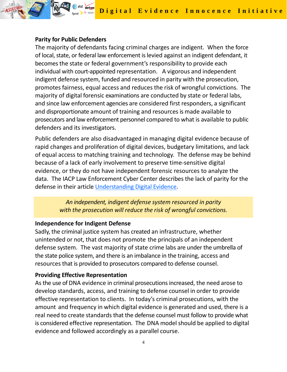**Digital Evidence Innocence Initiative** 

#### **Parity for Public Defenders**

I.R.I.S. LLC www.irisinvestigations.com(860) 522‐0001

> The majority of defendants facing criminal charges are indigent. When the force of local, state, or federal law enforcement is levied against an indigent defendant, it becomes the state or federal government's responsibility to provide each individual with court-appointed representation. A vigorous and independent indigent defense system, funded and resourced in parity with the prosecution, promotes fairness, equal access and reduces the risk of wrongful convictions. The majority of digital forensic examinations are conducted by state or federal labs, and since law enforcement agencies are considered first responders, a significant and disproportionate amount of training and resources is made available to prosecutors and law enforcement personnel compared to what is available to public defenders and its investigators.

> Public defenders are also disadvantaged in managing digital evidence because of rapid changes and proliferation of digital devices, budgetary limitations, and lack of equal access to matching training and technology. The defense may be behind because of a lack of early involvement to preserve time‐sensitive digital evidence, or they do not have independent forensic resources to analyze the data. The IACP Law Enforcement Cyber Center describes the lack of parity for the defense in their article [Understanding](http://www.iacpcybercenter.org/investigators/digital-evidence/understanding-digital-evidence/) Digital Evidence.

> > *An independent, indigent defense system resourced in parity with the prosecution will reduce the risk of wrongful convictions.*

#### **Independence for Indigent Defense**

Sadly, the criminal justice system has created an infrastructure, whether unintended or not, that does not promote the principals of an independent defense system. The vast majority of state crime labs are under the umbrella of the state police system, and there is an imbalance in the training, access and resources that is provided to prosecutors compared to defense counsel.

#### **Providing Effective Representation**

As the use of DNA evidence in criminal prosecutionsincreased, the need arose to develop standards, access, and training to defense counsel in order to provide effective representation to clients. In today's criminal prosecutions, with the amount and frequency in which digital evidence is generated and used, there is a real need to create standards that the defense counsel must follow to provide what is considered effective representation. The DNA model should be applied to digital evidence and followed accordingly as a parallel course.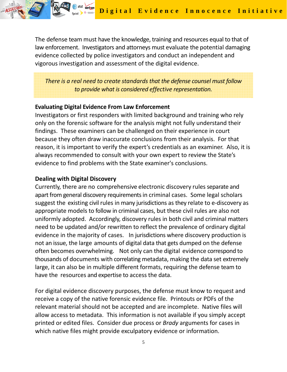The defense team must have the knowledge, training and resources equal to that of law enforcement. Investigators and attorneys must evaluate the potential damaging evidence collected by police investigators and conduct an independent and vigorous investigation and assessment of the digital evidence.

*There is a real need to create standards that the defense counsel must follow to provide what is considered effective representation.*

#### **Evaluating Digital Evidence From Law Enforcement**

Investigators or first responders with limited background and training who rely only on the forensic software for the analysis might not fully understand their findings. These examiners can be challenged on their experience in court because they often draw inaccurate conclusions from their analysis. For that reason, it is important to verify the expert's credentials as an examiner. Also, it is always recommended to consult with your own expert to review the State's evidence to find problems with the State examiner's conclusions.

#### **Dealing with Digital Discovery**

I.R.I.S. LLC www.irisinvestigations.com(860) 522‐0001

> Currently, there are no comprehensive electronic discovery rules separate and apart from general discovery requirements in criminal cases. Some legal scholars suggest the existing civil rules in many jurisdictions as they relate to e‐discovery as appropriate models to follow in criminal cases, but these civil rules are also not uniformly adopted. Accordingly, discovery rules in both civil and criminal matters need to be updated and/or rewritten to reflect the prevalence of ordinary digital evidence in the majority of cases. In jurisdictions where discovery production is not an issue, the large amounts of digital data that gets dumped on the defense often becomes overwhelming. Not only can the digital evidence correspond to thousands of documents with correlating metadata, making the data set extremely large, it can also be in multiple different formats, requiring the defense team to have the resources and expertise to access the data.

For digital evidence discovery purposes, the defense must know to request and receive a copy of the native forensic evidence file. Printouts or PDFs of the relevant material should not be accepted and are incomplete. Native files will allow access to metadata. This information is not available if you simply accept printed or edited files. Consider due process or *Brady* arguments for cases in which native files might provide exculpatory evidence or information.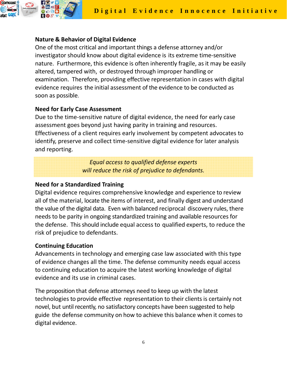

### **Nature & Behavior of Digital Evidence**

One of the most critical and important things a defense attorney and/or investigator should know about digital evidence is its extreme time‐sensitive nature. Furthermore, this evidence is often inherently fragile, as it may be easily altered, tampered with, or destroyed through improper handling or examination. Therefore, providing effective representation in cases with digital evidence requires the initial assessment of the evidence to be conducted as soon as possible.

### **Need for Early Case Assessment**

Due to the time‐sensitive nature of digital evidence, the need for early case assessment goes beyond just having parity in training and resources. Effectiveness of a client requires early involvement by competent advocates to identify, preserve and collect time‐sensitive digital evidence for later analysis and reporting.

> *Equal access to qualified defense experts will reduce the risk of prejudice to defendants.*

### **Need for a Standardized Training**

Digital evidence requires comprehensive knowledge and experience to review all of the material, locate the items of interest, and finally digest and understand the value of the digital data. Even with balanced reciprocal discovery rules, there needs to be parity in ongoing standardized training and available resources for the defense. This should include equal access to qualified experts, to reduce the risk of prejudice to defendants.

# **Continuing Education**

Advancements in technology and emerging case law associated with this type of evidence changes all the time. The defense community needs equal access to continuing education to acquire the latest working knowledge of digital evidence and its use in criminal cases.

The proposition that defense attorneys need to keep up with the latest technologies to provide effective representation to their clients is certainly not novel, but until recently, no satisfactory concepts have been suggested to help guide the defense community on how to achieve this balance when it comes to digital evidence.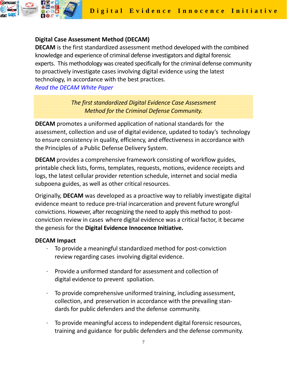

# **Digital Case Assessment Method (DECAM)**

**DECAM** is the first standardized assessment method developed with the combined knowledge and experience of criminal defense investigators and digital forensic experts. This methodology was created specifically for the criminal defense community to proactively investigate cases involving digital evidence using the latest technology, in accordance with the best practices. *Read the [DECAM](http://www.irisinvestigations.com/wp-content/uploads/2019/05/DECAM_White_Paper_05-20-2019.pdf) White Paper*

> *The first standardized Digital Evidence Case Assessment Method for the Criminal Defense Community.*

**DECAM** promotes a uniformed application of national standards for the assessment, collection and use of digital evidence, updated to today's technology to ensure consistency in quality, efficiency, and effectiveness in accordance with the Principles of a Public Defense Delivery System.

**DECAM** provides a comprehensive framework consisting of workflow guides, printable check lists, forms, templates, requests, motions, evidence receipts and logs, the latest cellular provider retention schedule, internet and social media subpoena guides, as well as other critical resources.

Originally, **DECAM** was developed as a proactive way to reliably investigate digital evidence meant to reduce pre‐trial incarceration and prevent future wrongful convictions. However, after recognizing the need to apply this method to postconviction review in cases where digital evidence was a critical factor, it became the genesis for the **Digital Evidence Innocence Initiative.**

#### **DECAM Impact**

- To provide a meaningful standardized method for post-conviction review regarding cases involving digital evidence.
- ∙ Provide a uniformed standard for assessment and collection of digital evidence to prevent spoliation.
- ∙ To provide comprehensive uniformed training, including assessment, collection, and preservation in accordance with the prevailing stan‐ dards for public defenders and the defense community.
- ∙ To provide meaningful access to independent digital forensic resources, training and guidance for public defenders and the defense community.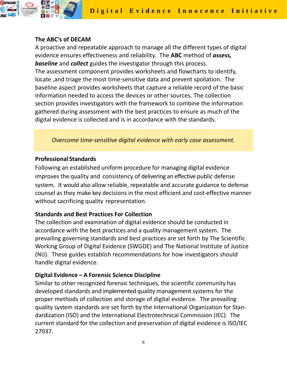

# **The ABC's of DECAM**

A proactive and repeatable approach to manage all the different types of digital evidence ensures effectiveness and reliability. The **ABC** method of *assess, baseline* and *collect* guides the investigator through this process. The assessment component provides worksheets and flowcharts to identify, locate ,and triage the most time‐sensitive data and prevent spoliation. The baseline aspect provides worksheets that capture a reliable record of the basic information needed to access the devices or other sources. The collection section provides investigators with the framework to combine the information gathered during assessment with the best practices to ensure as much of the digital evidence is collected and is in accordance with the standards.

*Overcome time‐sensitive digital evidence with early case assessment.*

# **Professional Standards**

Following an established uniform procedure for managing digital evidence improves the quality and consistency of delivering an effective public defense system. It would also allow reliable, repeatable and accurate guidance to defense counsel as they make key decisions in the most efficient and cost‐effective manner without sacrificing quality representation.

# **Standards and Best Practices For Collection**

The collection and examination of digital evidence should be conducted in accordance with the best practices and a quality management system. The prevailing governing standards and best practices are set forth by The Scientific Working Group of Digital Evidence (SWGDE) and The National Institute of Justice (NIJ). These guides establish recommendations for how investigators should handle digital evidence.

# **Digital Evidence – A Forensic Science Discipline**

Similar to other recognized forensic techniques, the scientific community has developed standards and implemented quality management systems for the proper methods of collection and storage of digital evidence. The prevailing quality system standards are set forth by the International Organization for Stan‐ dardization (ISO) and the International Electrotechnical Commission (IEC). The current standard for the collection and preservation of digital evidence is ISO/IEC 27037.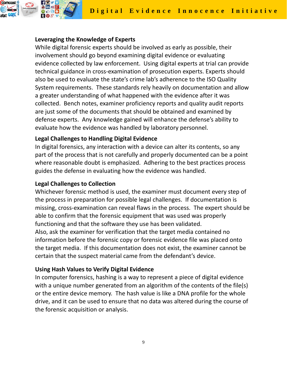

### **Leveraging the Knowledge of Experts**

While digital forensic experts should be involved as early as possible, their involvement should go beyond examining digital evidence or evaluating evidence collected by law enforcement. Using digital experts at trial can provide technical guidance in cross‐examination of prosecution experts. Experts should also be used to evaluate the state's crime lab's adherence to the ISO Quality System requirements. These standards rely heavily on documentation and allow a greater understanding of what happened with the evidence after it was collected. Bench notes, examiner proficiency reports and quality audit reports are just some of the documents that should be obtained and examined by defense experts. Any knowledge gained will enhance the defense's ability to evaluate how the evidence was handled by laboratory personnel.

### **Legal Challenges to Handling Digital Evidence**

In digital forensics, any interaction with a device can alter its contents, so any part of the process that is not carefully and properly documented can be a point where reasonable doubt is emphasized. Adhering to the best practices process guides the defense in evaluating how the evidence was handled.

#### **Legal Challenges to Collection**

Whichever forensic method is used, the examiner must document every step of the process in preparation for possible legal challenges. If documentation is missing, cross‐examination can reveal flaws in the process. The expert should be able to confirm that the forensic equipment that was used was properly functioning and that the software they use has been validated. Also, ask the examiner for verification that the target media contained no information before the forensic copy or forensic evidence file was placed onto the target media. If this documentation does not exist, the examiner cannot be certain that the suspect material came from the defendant's device.

#### **Using Hash Values to Verify Digital Evidence**

In computer forensics, hashing is a way to represent a piece of digital evidence with a unique number generated from an algorithm of the contents of the file(s) or the entire device memory. The hash value is like a DNA profile for the whole drive, and it can be used to ensure that no data was altered during the course of the forensic acquisition or analysis.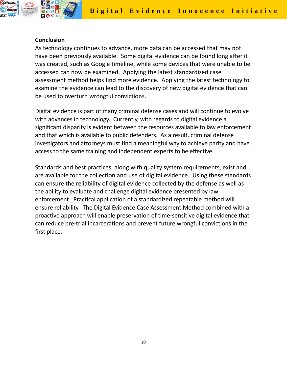

#### **Conclusion**

As technology continues to advance, more data can be accessed that may not have been previously available. Some digital evidence can be found long after it was created, such as Google timeline, while some devices that were unable to be accessed can now be examined. Applying the latest standardized case assessment method helps find more evidence. Applying the latest technology to examine the evidence can lead to the discovery of new digital evidence that can be used to overturn wrongful convictions.

Digital evidence is part of many criminal defense cases and will continue to evolve with advances in technology. Currently, with regards to digital evidence a significant disparity is evident between the resources available to law enforcement and that which is available to public defenders. As a result, criminal defense investigators and attorneys must find a meaningful way to achieve parity and have access to the same training and independent experts to be effective.

Standards and best practices, along with quality system requirements, exist and are available for the collection and use of digital evidence. Using these standards can ensure the reliability of digital evidence collected by the defense as well as the ability to evaluate and challenge digital evidence presented by law enforcement. Practical application of a standardized repeatable method will ensure reliability. The Digital Evidence Case Assessment Method combined with a proactive approach will enable preservation of time‐sensitive digital evidence that can reduce pre‐trial incarcerations and prevent future wrongful convictions in the first place.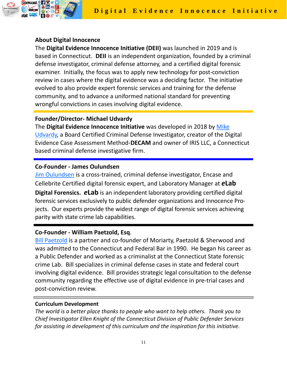

### **About Digital Innocence**

The **Digital Evidence Innocence Initiative (DEII)** was launched in 2019 and is based in Connecticut. **DEII** is an independent organization, founded by a criminal defense investigator, criminal defense attorney, and a certified digital forensic examiner. Initially, the focus was to apply new technology for post‐conviction review in cases where the digital evidence was a deciding factor. The initiative evolved to also provide expert forensic services and training for the defense community, and to advance a uniformed national standard for preventing wrongful convictions in cases involving digital evidence.

### **Founder/Director‐ Michael Udvardy**

The **Digital Evidence Innocence Initiative** was developed in 2018 by [Mike](https://www.linkedin.com/in/mike-udvardy-a245b48b/) [Udvardy,](https://www.linkedin.com/in/mike-udvardy-a245b48b/) a Board Certified Criminal Defense Investigator, creator of the Digital Evidence Case Assessment Method‐**DECAM** and owner of IRIS LLC, a Connecticut based criminal defense investigative firm.

### **Co‐Founder ‐ James Oulundsen**

Jim [Oulundsen](https://www.linkedin.com/in/jim-oulundsen-259844b7/) is a cross-trained, criminal defense investigator, Encase and Cellebrite Certified digital forensic expert, and Laboratory Manager at *e***Lab Digital Forensics. <b>***e***Lab** is an independent laboratory providing certified digital forensic services exclusively to public defender organizations and Innocence Pro‐ jects. Our experts provide the widest range of digital forensic services achieving parity with state crime lab capabilities.

# **Co‐Founder ‐ William Paetzold, Esq**.

Bill [Paetzold](https://www.linkedin.com/in/william-paetzold-32895447/) is a partner and co-founder of Moriarty, Paetzold & Sherwood and was admitted to the Connecticut and Federal Bar in 1990. He began his career as a Public Defender and worked as a criminalist at the Connecticut State forensic crime Lab. Bill specializes in criminal defense cases in state and federal court involving digital evidence. Bill provides strategic legal consultation to the defense community regarding the effective use of digital evidence in pre‐trial cases and post‐conviction review.

#### **Curriculum Development**

*The world is a better place thanks to people who want to help others. Thank you to Chief Investigator Ellen Knight of the Connecticut Division of Public Defender Services for assisting in development of this curriculum and the inspiration for this initiative.*